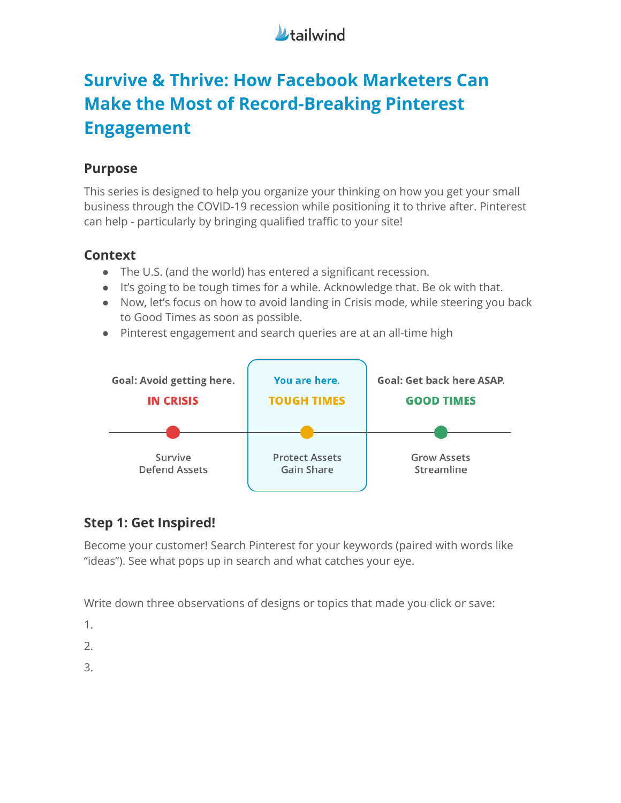

# **Survive & Thrive: How Facebook Marketers Can Make the Most of Record-Breaking Pinterest Engagement**

### **Purpose**

This series is designed to help you organize your thinking on how you get your small business through the COVID-19 recession while positioning it to thrive after. Pinterest can help - particularly by bringing qualified traffic to your site!

### **Context**

- The U.S. (and the world) has entered a significant recession.
- It's going to be tough times for a while. Acknowledge that. Be ok with that.
- Now, let's focus on how to avoid landing in Crisis mode, while steering you back to Good Times as soon as possible.
- Pinterest engagement and search queries are at an all-time high



### **Step 1: Get Inspired!**

Become your customer! Search Pinterest for your keywords (paired with words like "ideas"). See what pops up in search and what catches your eye.

Write down three observations of designs or topics that made you click or save:

1.

2.

3.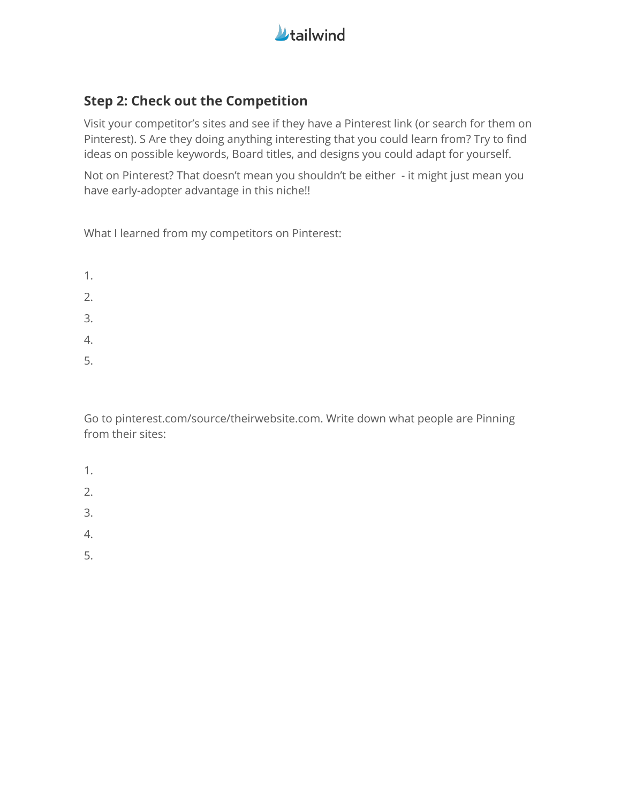

### **Step 2: Check out the Competition**

Visit your competitor's sites and see if they have a Pinterest link (or search for them on Pinterest). S Are they doing anything interesting that you could learn from? Try to find ideas on possible keywords, Board titles, and designs you could adapt for yourself.

Not on Pinterest? That doesn't mean you shouldn't be either - it might just mean you have early-adopter advantage in this niche!!

What I learned from my competitors on Pinterest:

- 1.
- 2.
- 
- 3.
- 4.
- 5.

Go to pinterest.com/source/theirwebsite.com. Write down what people are Pinning from their sites:

- 1.
- 
- 2.
- 3.
- 4.
- 5.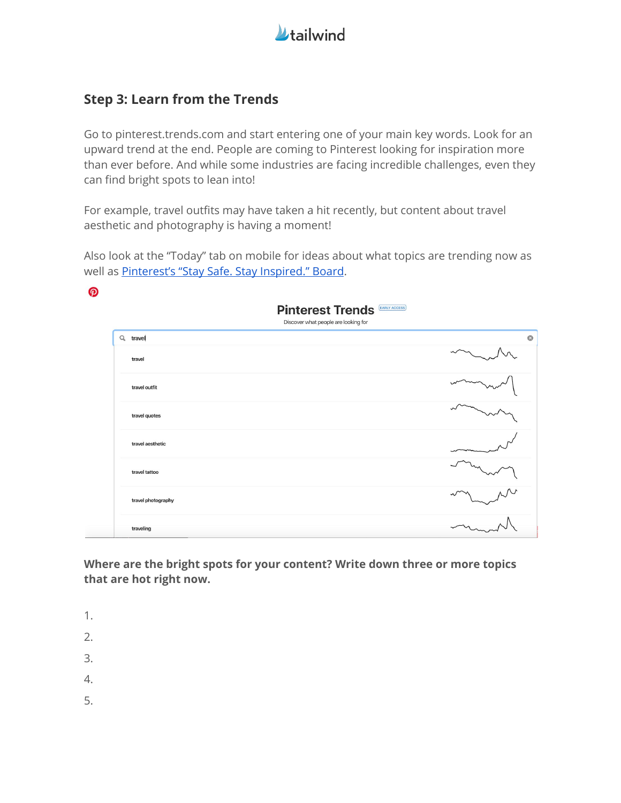

### **Step 3: Learn from the Trends**

Go to pinterest.trends.com and start entering one of your main key words. Look for an upward trend at the end. People are coming to Pinterest looking for inspiration more than ever before. And while some industries are facing incredible challenges, even they can find bright spots to lean into!

For example, travel outfits may have taken a hit recently, but content about travel aesthetic and photography is having a moment!

Also look at the "Today" tab on mobile for ideas about what topics are trending now as well as [Pinterest's](https://www.pinterest.com/pinterest/stay-safe-stay-inspired/) "Stay Safe. Stay Inspired." Board.

| စွာ |                    |                                                                 |
|-----|--------------------|-----------------------------------------------------------------|
|     |                    | <b>Pinterest Trends</b><br>Discover what people are looking for |
|     | Q travel           | $\circ$                                                         |
|     | travel             |                                                                 |
|     | travel outfit      |                                                                 |
|     | travel quotes      |                                                                 |
|     | travel aesthetic   |                                                                 |
|     | travel tattoo      |                                                                 |
|     | travel photography |                                                                 |
|     | traveling          |                                                                 |

**Where are the bright spots for your content? Write down three or more topics that are hot right now.**

1.

 $\overline{\phantom{0}}$ 

- 2.
- 3.
- 4.
- 5.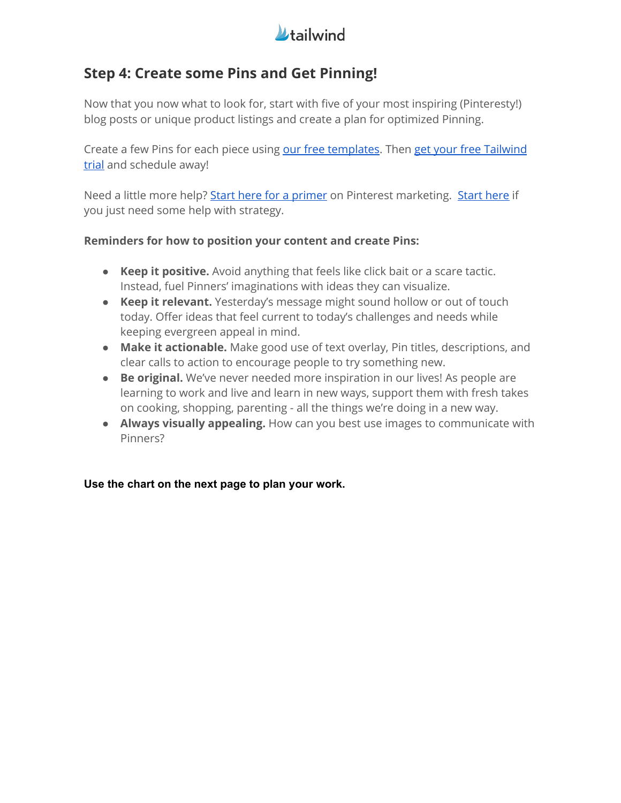

## **Step 4: Create some Pins and Get Pinning!**

Now that you now what to look for, start with five of your most inspiring (Pinteresty!) blog posts or unique product listings and create a plan for optimized Pinning.

Create a few Pins for each piece using our free [templates](https://learn.tailwindapp.com/pinterest-toolkit-v2/?utm_source=facebook&utm_medium=live&utm_campaign=survive-and-thrive&utm_content=episode-2-download). Then get your free [Tailwind](https://www.pinterest.com/oauth/?consumer_id=1436524&redirect_uri=https%3A%2F%2Fapi.tailwindapp.com%2Foauth%2Fpinterest%2Fresponse&response_type=code&state=eyJpdiI6IkdIdU94aVpkR1R6Y1JzYk13MmVYTUE9PSIsInZhbHVlIjoiT2hDYU40YkM2aXhLQmQrQVJyMjdMSjIwbzE1c3BYT0RyUFExbTVOcXAwRE9yV0dsMmhDQ2xqVVNFM25taVpDWUN4Rm9Tc21vTDdvck1tSkdrZm9TZGUyczJaQnN2VERZMXc4MHpKcXhwbERaWmFNOUs1RWI1QkhcLzk2MDZVTDY4eVBGXC90cmZ4YnRFTzQwRGdtZjZMS0xBcW9wclJTN1wvMmxNcE9rMGM3K2tZNUNcLzgwS2tCRE1DMWlsT25UREFuVG9QTUI5Vm1KTXpNblhFNFdpb2lCS3JPMlNNaFA0UTBiYjJsUjJYdkN1b28xdEx3Q2xPeVwvUnl5WmZtanJBTzcwRlk1NzlQV1pIN2lnVXNDMDZCUTNIUzh5TGEwaTJXeWNGQ1VDQkRcL0Q1dDNFWXZyOUczTUtpb09DWDRlQkw4eU5MSmlPT0w4ZVJGTG11XC9MQzZ1WjVZUEN0T0xnU1BaUDhcLzhRUnI4OXJMbExtWEhEdnNZcitwQW9vY1g2dWFuQmVWS21ZQUhEQ3AwOWczNFF2MEFoS3p3PT0iLCJtYWMiOiIwMWI4NmZhZTQxMzlhOTI4Njc3ZDY5NDQyNDMwM2M3MTliYzYyY2RkMTZlMGUyYTUxZjc3MTM1ZDQ4NWQ3ZDdjIn0%3D) [trial](https://www.pinterest.com/oauth/?consumer_id=1436524&redirect_uri=https%3A%2F%2Fapi.tailwindapp.com%2Foauth%2Fpinterest%2Fresponse&response_type=code&state=eyJpdiI6IkdIdU94aVpkR1R6Y1JzYk13MmVYTUE9PSIsInZhbHVlIjoiT2hDYU40YkM2aXhLQmQrQVJyMjdMSjIwbzE1c3BYT0RyUFExbTVOcXAwRE9yV0dsMmhDQ2xqVVNFM25taVpDWUN4Rm9Tc21vTDdvck1tSkdrZm9TZGUyczJaQnN2VERZMXc4MHpKcXhwbERaWmFNOUs1RWI1QkhcLzk2MDZVTDY4eVBGXC90cmZ4YnRFTzQwRGdtZjZMS0xBcW9wclJTN1wvMmxNcE9rMGM3K2tZNUNcLzgwS2tCRE1DMWlsT25UREFuVG9QTUI5Vm1KTXpNblhFNFdpb2lCS3JPMlNNaFA0UTBiYjJsUjJYdkN1b28xdEx3Q2xPeVwvUnl5WmZtanJBTzcwRlk1NzlQV1pIN2lnVXNDMDZCUTNIUzh5TGEwaTJXeWNGQ1VDQkRcL0Q1dDNFWXZyOUczTUtpb09DWDRlQkw4eU5MSmlPT0w4ZVJGTG11XC9MQzZ1WjVZUEN0T0xnU1BaUDhcLzhRUnI4OXJMbExtWEhEdnNZcitwQW9vY1g2dWFuQmVWS21ZQUhEQ3AwOWczNFF2MEFoS3p3PT0iLCJtYWMiOiIwMWI4NmZhZTQxMzlhOTI4Njc3ZDY5NDQyNDMwM2M3MTliYzYyY2RkMTZlMGUyYTUxZjc3MTM1ZDQ4NWQ3ZDdjIn0%3D) and schedule away!

Need a little more help? Start here for a [primer](https://blog.tailwindapp.com/how-does-pinterest-work-pinterest-101/) on Pinterest marketing. [Start](https://blog.tailwindapp.com/how-to-use-tailwind-for-pinterest-marketing-in-2020/) here if you just need some help with strategy.

#### **Reminders for how to position your content and create Pins:**

- **Keep it positive.** Avoid anything that feels like click bait or a scare tactic. Instead, fuel Pinners' imaginations with ideas they can visualize.
- **Keep it relevant.** Yesterday's message might sound hollow or out of touch today. Offer ideas that feel current to today's challenges and needs while keeping evergreen appeal in mind.
- **Make it actionable.** Make good use of text overlay, Pin titles, descriptions, and clear calls to action to encourage people to try something new.
- **Be original.** We've never needed more inspiration in our lives! As people are learning to work and live and learn in new ways, support them with fresh takes on cooking, shopping, parenting - all the things we're doing in a new way.
- **Always visually appealing.** How can you best use images to communicate with Pinners?

#### **Use the chart on the next page to plan your work.**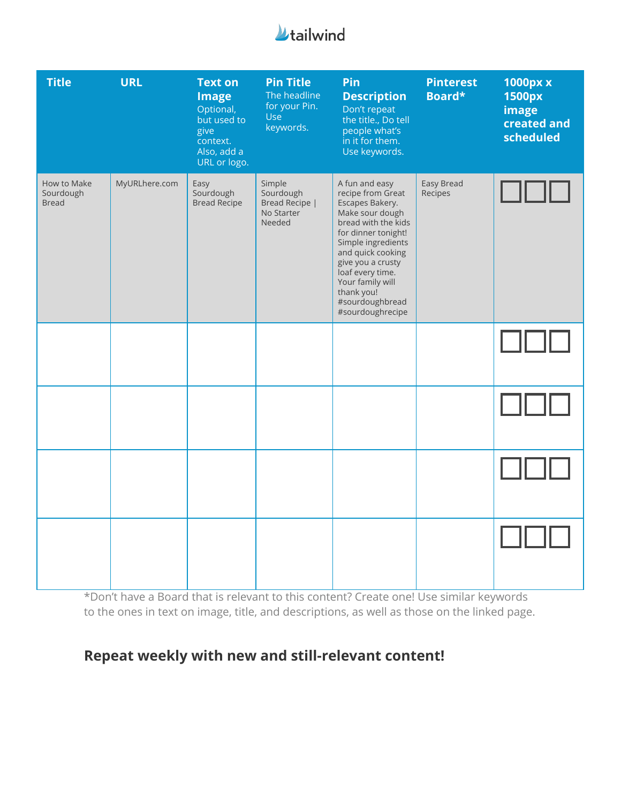

| <b>Title</b>                             | <b>URL</b>    | <b>Text on</b><br><b>Image</b><br>Optional,<br>but used to<br>give<br>context.<br>Also, add a<br>URL or logo. | <b>Pin Title</b><br>The headline<br>for your Pin.<br><b>Use</b><br>keywords. | Pin<br><b>Description</b><br>Don't repeat<br>the title., Do tell<br>people what's<br>in it for them.<br>Use keywords.                                                                                                                                                                | <b>Pinterest</b><br>Board* | 1000px x<br>1500px<br>image<br>created and<br>scheduled |
|------------------------------------------|---------------|---------------------------------------------------------------------------------------------------------------|------------------------------------------------------------------------------|--------------------------------------------------------------------------------------------------------------------------------------------------------------------------------------------------------------------------------------------------------------------------------------|----------------------------|---------------------------------------------------------|
| How to Make<br>Sourdough<br><b>Bread</b> | MyURLhere.com | Easy<br>Sourdough<br><b>Bread Recipe</b>                                                                      | Simple<br>Sourdough<br>Bread Recipe  <br>No Starter<br>Needed                | A fun and easy<br>recipe from Great<br>Escapes Bakery.<br>Make sour dough<br>bread with the kids<br>for dinner tonight!<br>Simple ingredients<br>and quick cooking<br>give you a crusty<br>loaf every time.<br>Your family will<br>thank you!<br>#sourdoughbread<br>#sourdoughrecipe | Easy Bread<br>Recipes      |                                                         |
|                                          |               |                                                                                                               |                                                                              |                                                                                                                                                                                                                                                                                      |                            |                                                         |
|                                          |               |                                                                                                               |                                                                              |                                                                                                                                                                                                                                                                                      |                            |                                                         |
|                                          |               |                                                                                                               |                                                                              |                                                                                                                                                                                                                                                                                      |                            |                                                         |
|                                          |               |                                                                                                               |                                                                              |                                                                                                                                                                                                                                                                                      |                            |                                                         |

\*Don't have a Board that is relevant to this content? Create one! Use similar keywords to the ones in text on image, title, and descriptions, as well as those on the linked page.

# **Repeat weekly with new and still-relevant content!**